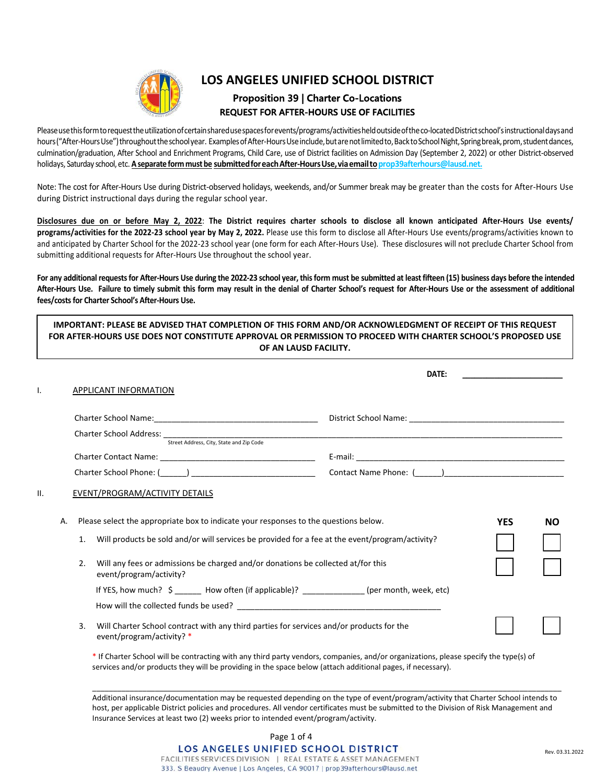

# **LOS ANGELES UNIFIED SCHOOL DISTRICT Proposition 39 | Charter Co-Locations REQUEST FOR AFTER-HOURS USE OF FACILITIES**

Please use this form to request the utilization of certain shared use spaces for events/programs/activities held outside of the co-located District school's instructional days and hours ("After-Hours Use") throughout the school year. Examples of After-Hours Use include, but are not limited to, Back to School Night, Spring break, prom, student dances, culmination/graduation, After School and Enrichment Programs, Child Care, use of District facilities on Admission Day (September 2, 2022) or other District‐observed holidays, Saturday school, etc. A separate form must be submitted for each After-Hours Use, via email to prop39afterhours@lausd.net.

Note: The cost for After‐Hours Use during District‐observed holidays, weekends, and/or Summer break may be greater than the costs for After‐Hours Use during District instructional days during the regular school year.

**Disclosures due on or before May 2, 2022**: **The District requires charter schools to disclose all known anticipated After‐Hours Use events/ programs/activities for the 2022‐23 school year by May 2, 2022.** Please use this form to disclose all After‐Hours Use events/programs/activities known to and anticipated by Charter School for the 2022-23 school year (one form for each After-Hours Use). These disclosures will not preclude Charter School from submitting additional requests for After-Hours Use throughout the school year.

For any additional requests for After-Hours Use during the 2022-23 school year, this form must be submitted at least fifteen (15) business days before the intended **After‐Hours Use. Failure to timely submit this form may result in the denial of Charter School's request for After‐Hours Use or the assessment of additional fees/costs for Charter School's After‐Hours Use.** 

|    |                |                                                                                                                                                                                                                                                                                                        | DATE:                                                                                                                                |            |           |
|----|----------------|--------------------------------------------------------------------------------------------------------------------------------------------------------------------------------------------------------------------------------------------------------------------------------------------------------|--------------------------------------------------------------------------------------------------------------------------------------|------------|-----------|
| I. |                | <b>APPLICANT INFORMATION</b>                                                                                                                                                                                                                                                                           |                                                                                                                                      |            |           |
|    |                |                                                                                                                                                                                                                                                                                                        |                                                                                                                                      |            |           |
|    |                |                                                                                                                                                                                                                                                                                                        |                                                                                                                                      |            |           |
|    |                |                                                                                                                                                                                                                                                                                                        |                                                                                                                                      |            |           |
|    |                |                                                                                                                                                                                                                                                                                                        |                                                                                                                                      |            |           |
|    |                |                                                                                                                                                                                                                                                                                                        | Contact Name Phone: ()                                                                                                               |            |           |
|    | Α.<br>1.<br>2. | Please select the appropriate box to indicate your responses to the questions below.<br>Will products be sold and/or will services be provided for a fee at the event/program/activity?<br>Will any fees or admissions be charged and/or donations be collected at/for this<br>event/program/activity? |                                                                                                                                      | <b>YES</b> | <b>NO</b> |
|    |                | If YES, how much? \$ ______ How often (if applicable)? _____________(per month, week, etc)                                                                                                                                                                                                             |                                                                                                                                      |            |           |
|    |                |                                                                                                                                                                                                                                                                                                        |                                                                                                                                      |            |           |
|    | 3.             | Will Charter School contract with any third parties for services and/or products for the<br>event/program/activity? *                                                                                                                                                                                  |                                                                                                                                      |            |           |
|    |                | services and/or products they will be providing in the space below (attach additional pages, if necessary).                                                                                                                                                                                            | * If Charter School will be contracting with any third party vendors, companies, and/or organizations, please specify the type(s) of |            |           |

Additional insurance/documentation may be requested depending on the type of event/program/activity that Charter School intends to host, per applicable District policies and procedures. All vendor certificates must be submitted to the Division of Risk Management and Insurance Services at least two (2) weeks prior to intended event/program/activity.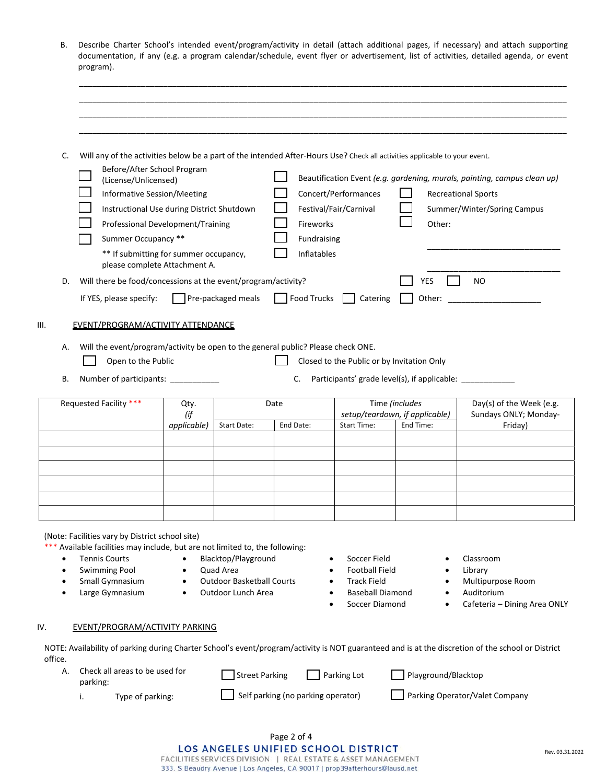| B. Describe Charter School's intended event/program/activity in detail (attach additional pages, if necessary) and attach supporting |
|--------------------------------------------------------------------------------------------------------------------------------------|
| documentation, if any (e.g. a program calendar/schedule, event flyer or advertisement, list of activities, detailed agenda, or event |
| program).                                                                                                                            |

\_\_\_\_\_\_\_\_\_\_\_\_\_\_\_\_\_\_\_\_\_\_\_\_\_\_\_\_\_\_\_\_\_\_\_\_\_\_\_\_\_\_\_\_\_\_\_\_\_\_\_\_\_\_\_\_\_\_\_\_\_\_\_\_\_\_\_\_\_\_\_\_\_\_\_\_\_\_\_\_\_\_\_\_\_\_\_\_\_\_\_\_\_\_\_\_\_\_\_\_\_\_\_\_\_\_\_\_\_\_ \_\_\_\_\_\_\_\_\_\_\_\_\_\_\_\_\_\_\_\_\_\_\_\_\_\_\_\_\_\_\_\_\_\_\_\_\_\_\_\_\_\_\_\_\_\_\_\_\_\_\_\_\_\_\_\_\_\_\_\_\_\_\_\_\_\_\_\_\_\_\_\_\_\_\_\_\_\_\_\_\_\_\_\_\_\_\_\_\_\_\_\_\_\_\_\_\_\_\_\_\_\_\_\_\_\_\_\_\_\_

| D.<br>Α. | Before/After School Program<br>(License/Unlicensed)<br>Informative Session/Meeting<br>Instructional Use during District Shutdown<br>Professional Development/Training<br>Summer Occupancy **<br>** If submitting for summer occupancy,<br>please complete Attachment A.<br>Will there be food/concessions at the event/program/activity?<br>If YES, please specify:<br>EVENT/PROGRAM/ACTIVITY ATTENDANCE<br>Will the event/program/activity be open to the general public? Please check ONE. |                            | $\Box$ Pre-packaged meals                                                                  | Fireworks<br>Fundraising<br><b>Inflatables</b><br>Food Trucks | Will any of the activities below be a part of the intended After-Hours Use? Check all activities applicable to your event.<br>Concert/Performances<br>Festival/Fair/Carnival<br>Catering | Other:<br><b>YES</b><br>Other:                                                                                            | Beautification Event (e.g. gardening, murals, painting, campus clean up)<br><b>Recreational Sports</b><br>Summer/Winter/Spring Campus<br>N <sub>O</sub> |
|----------|----------------------------------------------------------------------------------------------------------------------------------------------------------------------------------------------------------------------------------------------------------------------------------------------------------------------------------------------------------------------------------------------------------------------------------------------------------------------------------------------|----------------------------|--------------------------------------------------------------------------------------------|---------------------------------------------------------------|------------------------------------------------------------------------------------------------------------------------------------------------------------------------------------------|---------------------------------------------------------------------------------------------------------------------------|---------------------------------------------------------------------------------------------------------------------------------------------------------|
| В.       | Open to the Public                                                                                                                                                                                                                                                                                                                                                                                                                                                                           |                            |                                                                                            | C.                                                            | Closed to the Public or by Invitation Only                                                                                                                                               |                                                                                                                           |                                                                                                                                                         |
|          | Number of participants: ____________<br>Requested Facility ***                                                                                                                                                                                                                                                                                                                                                                                                                               | Qty.<br>(if<br>applicable) | Start Date:                                                                                | Date<br>End Date:                                             | <b>Start Time:</b>                                                                                                                                                                       | Participants' grade level(s), if applicable: ___________<br>Time (includes<br>setup/teardown, if applicable)<br>End Time: | Day(s) of the Week (e.g.<br>Sundays ONLY; Monday-<br>Friday)                                                                                            |
|          |                                                                                                                                                                                                                                                                                                                                                                                                                                                                                              |                            |                                                                                            |                                                               |                                                                                                                                                                                          |                                                                                                                           |                                                                                                                                                         |
|          |                                                                                                                                                                                                                                                                                                                                                                                                                                                                                              |                            |                                                                                            |                                                               |                                                                                                                                                                                          |                                                                                                                           |                                                                                                                                                         |
| ٠        | (Note: Facilities vary by District school site)<br>*** Available facilities may include, but are not limited to, the following:<br><b>Tennis Courts</b><br><b>Swimming Pool</b><br>Small Gymnasium<br>Large Gymnasium                                                                                                                                                                                                                                                                        |                            | Blacktop/Playground<br>Quad Area<br><b>Outdoor Basketball Courts</b><br>Outdoor Lunch Area |                                                               | Soccer Field<br>٠<br><b>Football Field</b><br><b>Track Field</b><br><b>Baseball Diamond</b><br>Soccer Diamond                                                                            | ٠                                                                                                                         | Classroom<br>Library<br>Multipurpose Room<br>Auditorium                                                                                                 |
|          | <b>EVENT/PROGRAM/ACTIVITY PARKING</b>                                                                                                                                                                                                                                                                                                                                                                                                                                                        |                            |                                                                                            |                                                               |                                                                                                                                                                                          |                                                                                                                           | Cafeteria - Dining Area ONLY                                                                                                                            |
| office.  |                                                                                                                                                                                                                                                                                                                                                                                                                                                                                              |                            |                                                                                            |                                                               |                                                                                                                                                                                          |                                                                                                                           | NOTE: Availability of parking during Charter School's event/program/activity is NOT guaranteed and is at the discretion of the school or District       |
| А.       | Check all areas to be used for<br>parking:                                                                                                                                                                                                                                                                                                                                                                                                                                                   |                            | <b>Street Parking</b>                                                                      |                                                               | Parking Lot                                                                                                                                                                              | Playground/Blacktop                                                                                                       |                                                                                                                                                         |

Page 2 of 4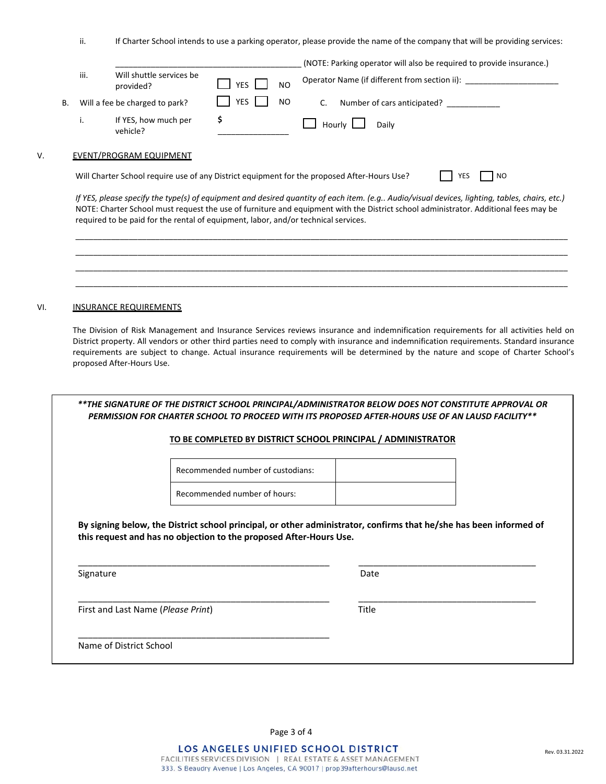ii. If Charter School intends to use a parking operator, please provide the name of the company that will be providing services:

|    |      |                                       |                              | (NOTE: Parking operator will also be required to provide insurance.) |
|----|------|---------------------------------------|------------------------------|----------------------------------------------------------------------|
|    | iii. | Will shuttle services be<br>provided? | <b>YES</b><br>N <sub>O</sub> | Operator Name (if different from section ii):                        |
| В. |      | Will a fee be charged to park?        | <b>YES</b><br>NO.            | Number of cars anticipated?                                          |
|    | ٠.   | If YES, how much per<br>vehicle?      |                              | Hourly $\Box$<br>Daily                                               |
|    |      |                                       |                              |                                                                      |

## V. EVENT/PROGRAM EQUIPMENT

Will Charter School require use of any District equipment for the proposed After-Hours Use?  $\Box$  YES  $\Box$  NO

*If YES, please specify the type(s) of equipment and desired quantity of each item. (e.g.. Audio/visual devices, lighting, tables, chairs, etc.)* NOTE: Charter School must request the use of furniture and equipment with the District school administrator. Additional fees may be required to be paid for the rental of equipment, labor, and/or technical services.

\_\_\_\_\_\_\_\_\_\_\_\_\_\_\_\_\_\_\_\_\_\_\_\_\_\_\_\_\_\_\_\_\_\_\_\_\_\_\_\_\_\_\_\_\_\_\_\_\_\_\_\_\_\_\_\_\_\_\_\_\_\_\_\_\_\_\_\_\_\_\_\_\_\_\_\_\_\_\_\_\_\_\_\_\_\_\_\_\_\_\_\_\_\_\_\_\_\_\_\_\_\_\_\_\_\_\_\_\_\_\_ \_\_\_\_\_\_\_\_\_\_\_\_\_\_\_\_\_\_\_\_\_\_\_\_\_\_\_\_\_\_\_\_\_\_\_\_\_\_\_\_\_\_\_\_\_\_\_\_\_\_\_\_\_\_\_\_\_\_\_\_\_\_\_\_\_\_\_\_\_\_\_\_\_\_\_\_\_\_\_\_\_\_\_\_\_\_\_\_\_\_\_\_\_\_\_\_\_\_\_\_\_\_\_\_\_\_\_\_\_\_\_ \_\_\_\_\_\_\_\_\_\_\_\_\_\_\_\_\_\_\_\_\_\_\_\_\_\_\_\_\_\_\_\_\_\_\_\_\_\_\_\_\_\_\_\_\_\_\_\_\_\_\_\_\_\_\_\_\_\_\_\_\_\_\_\_\_\_\_\_\_\_\_\_\_\_\_\_\_\_\_\_\_\_\_\_\_\_\_\_\_\_\_\_\_\_\_\_\_\_\_\_\_\_\_\_\_\_\_\_\_\_\_ \_\_\_\_\_\_\_\_\_\_\_\_\_\_\_\_\_\_\_\_\_\_\_\_\_\_\_\_\_\_\_\_\_\_\_\_\_\_\_\_\_\_\_\_\_\_\_\_\_\_\_\_\_\_\_\_\_\_\_\_\_\_\_\_\_\_\_\_\_\_\_\_\_\_\_\_\_\_\_\_\_\_\_\_\_\_\_\_\_\_\_\_\_\_\_\_\_\_\_\_\_\_\_\_\_\_\_\_\_\_\_

#### VI. **INSURANCE REQUIREMENTS**

The Division of Risk Management and Insurance Services reviews insurance and indemnification requirements for all activities held on District property. All vendors or other third parties need to comply with insurance and indemnification requirements. Standard insurance requirements are subject to change. Actual insurance requirements will be determined by the nature and scope of Charter School's proposed After‐Hours Use.

|                                             | **THE SIGNATURE OF THE DISTRICT SCHOOL PRINCIPAL/ADMINISTRATOR BELOW DOES NOT CONSTITUTE APPROVAL OR<br>PERMISSION FOR CHARTER SCHOOL TO PROCEED WITH ITS PROPOSED AFTER-HOURS USE OF AN LAUSD FACILITY** |       |  |
|---------------------------------------------|-----------------------------------------------------------------------------------------------------------------------------------------------------------------------------------------------------------|-------|--|
|                                             | TO BE COMPLETED BY DISTRICT SCHOOL PRINCIPAL / ADMINISTRATOR                                                                                                                                              |       |  |
|                                             | Recommended number of custodians:                                                                                                                                                                         |       |  |
|                                             | Recommended number of hours:                                                                                                                                                                              |       |  |
|                                             | By signing below, the District school principal, or other administrator, confirms that he/she has been informed of                                                                                        |       |  |
| Signature                                   | this request and has no objection to the proposed After-Hours Use.                                                                                                                                        | Date  |  |
| First and Last Name ( <i>Please Print</i> ) |                                                                                                                                                                                                           | Title |  |